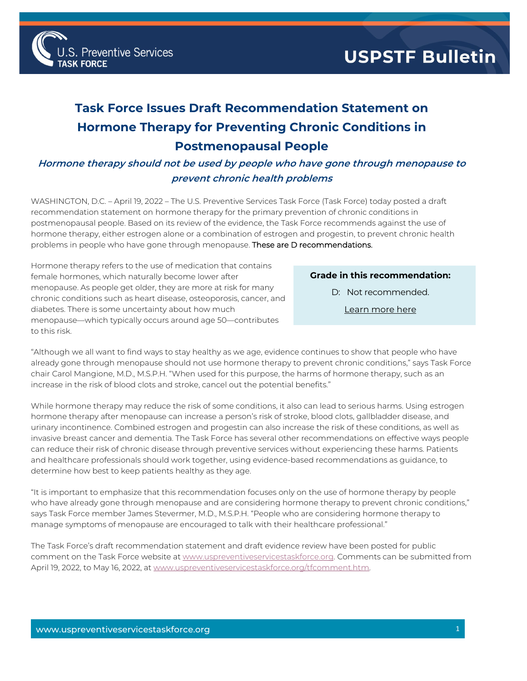

## **Task Force Issues Draft Recommendation Statement on Hormone Therapy for Preventing Chronic Conditions in Postmenopausal People**

## **Hormone therapy should not be used by people who have gone through menopause to prevent chronic health problems**

WASHINGTON, D.C. – April 19, 2022 – The U.S. Preventive Services Task Force (Task Force) today posted a draft recommendation statement on hormone therapy for the primary prevention of chronic conditions in postmenopausal people. Based on its review of the evidence, the Task Force recommends against the use of hormone therapy, either estrogen alone or a combination of estrogen and progestin, to prevent chronic health problems in people who have gone through menopause. These are D recommendations.

Hormone therapy refers to the use of medication that contains female hormones, which naturally become lower after menopause. As people get older, they are more at risk for many chronic conditions such as heart disease, osteoporosis, cancer, and diabetes. There is some uncertainty about how much menopause—which typically occurs around age 50—contributes to this risk.

## **Grade in this recommendation:**

D: Not recommended.

[Learn more here](http://www.uspreventiveservicestaskforce.org/Page/Name/grade-definitions)

"Although we all want to find ways to stay healthy as we age, evidence continues to show that people who have already gone through menopause should not use hormone therapy to prevent chronic conditions," says Task Force chair Carol Mangione, M.D., M.S.P.H. "When used for this purpose, the harms of hormone therapy, such as an increase in the risk of blood clots and stroke, cancel out the potential benefits."

While hormone therapy may reduce the risk of some conditions, it also can lead to serious harms. Using estrogen hormone therapy after menopause can increase a person's risk of stroke, blood clots, gallbladder disease, and urinary incontinence. Combined estrogen and progestin can also increase the risk of these conditions, as well as invasive breast cancer and dementia. The Task Force has several other recommendations on effective ways people can reduce their risk of chronic disease through preventive services without experiencing these harms. Patients and healthcare professionals should work together, using evidence-based recommendations as guidance, to determine how best to keep patients healthy as they age.

"It is important to emphasize that this recommendation focuses only on the use of hormone therapy by people who have already gone through menopause and are considering hormone therapy to prevent chronic conditions," says Task Force member James Stevermer, M.D., M.S.P.H. "People who are considering hormone therapy to manage symptoms of menopause are encouraged to talk with their healthcare professional."

The Task Force's draft recommendation statement and draft evidence review have been posted for public comment on the Task Force website a[t www.uspreventiveservicestaskforce.org.](http://www.uspreventiveservicestaskforce.org/) Comments can be submitted from April 19, 2022, to May 16, 2022, a[t www.uspreventiveservicestaskforce.org/tfcomment.htm.](http://www.uspreventiveservicestaskforce.org/tfcomment.htm)